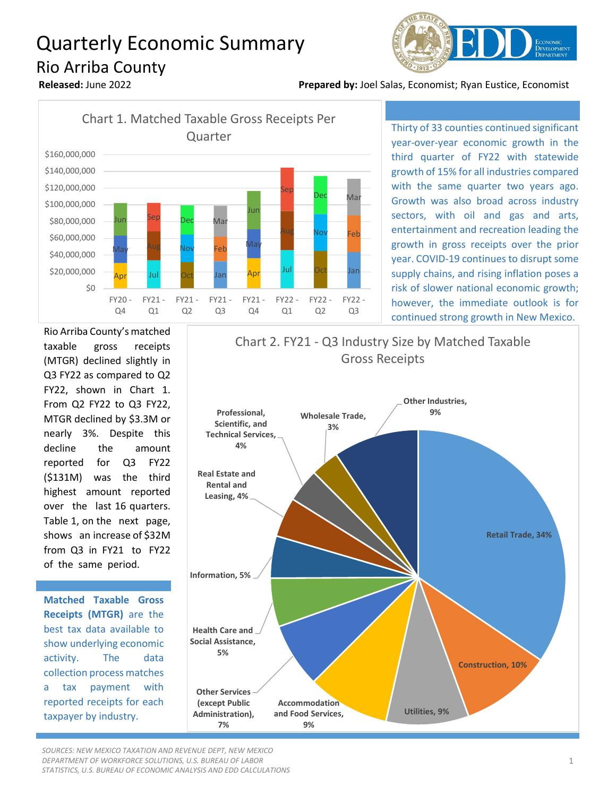## Quarterly Economic Summary Rio Arriba County



**Released:** June 2022 **Prepared by:** Joel Salas, Economist; Ryan Eustice, Economist



Thirty of 33 counties continued significant year-over-year economic growth in the third quarter of FY22 with statewide growth of 15% for all industries compared with the same quarter two years ago. Growth was also broad across industry sectors, with oil and gas and arts, entertainment and recreation leading the growth in gross receipts over the prior year. COVID-19 continues to disrupt some supply chains, and rising inflation poses a risk of slower national economic growth; however, the immediate outlook is for continued strong growth in New Mexico.

Rio Arriba County's matched taxable gross receipts (MTGR) declined slightly in Q3 FY22 as compared to Q2 FY22, shown in Chart 1. From Q2 FY22 to Q3 FY22, MTGR declined by \$3.3M or nearly 3%. Despite this decline the amount reported for Q3 FY22 (\$131M) was the third highest amount reported over the last 16 quarters. Table 1, on the next page, shows an increase of \$32M from Q3 in FY21 to FY22 of the same period.

**Matched Taxable Gross Receipts (MTGR)** are the best tax data available to show underlying economic activity. The data collection process matches a tax payment with reported receipts for each taxpayer by industry.



*SOURCES: NEW MEXICO TAXATION AND REVENUE DEPT, NEW MEXICO DEPARTMENT OF WORKFORCE SOLUTIONS, U.S. BUREAU OF LABOR STATISTICS, U.S. BUREAU OF ECONOMIC ANALYSIS AND EDD CALCULATIONS*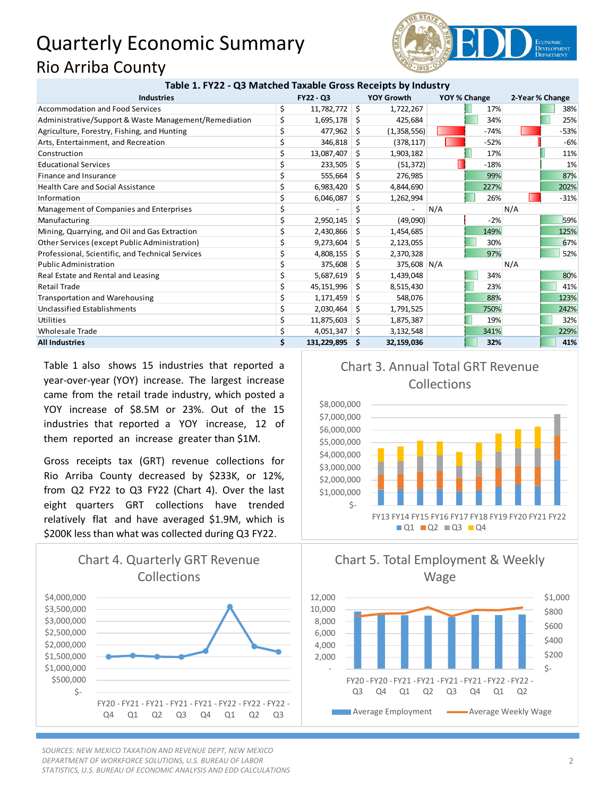## Quarterly Economic Summary Rio Arriba County



| Table 1. FY22 - Q3 Matched Taxable Gross Receipts by Industry |           |                |                   |             |              |        |                 |        |
|---------------------------------------------------------------|-----------|----------------|-------------------|-------------|--------------|--------|-----------------|--------|
| <b>Industries</b>                                             | FY22 - Q3 |                | <b>YOY Growth</b> |             | YOY % Change |        | 2-Year % Change |        |
| Accommodation and Food Services                               | \$        | 11,782,772     | -\$               | 1,722,267   |              | 17%    |                 | 38%    |
| Administrative/Support & Waste Management/Remediation         | \$        | $1,695,178$ \$ |                   | 425,684     |              | 34%    |                 | 25%    |
| Agriculture, Forestry, Fishing, and Hunting                   | \$        | 477,962        | \$                | (1,358,556) |              | $-74%$ |                 | $-53%$ |
| Arts, Entertainment, and Recreation                           | \$        | 346,818        | Ŝ.                | (378, 117)  |              | $-52%$ |                 | $-6%$  |
| Construction                                                  | \$        | 13,087,407     | \$                | 1,903,182   |              | 17%    |                 | 11%    |
| <b>Educational Services</b>                                   | \$        | 233,505        | S                 | (51, 372)   |              | $-18%$ |                 | 1%     |
| Finance and Insurance                                         |           | 555,664        | \$.               | 276,985     |              | 99%    |                 | 87%    |
| <b>Health Care and Social Assistance</b>                      | \$        | 6,983,420      | S                 | 4,844,690   |              | 227%   |                 | 202%   |
| Information                                                   | \$        | 6,046,087      | S                 | 1,262,994   |              | 26%    |                 | $-31%$ |
| Management of Companies and Enterprises                       | \$        |                | \$                |             | N/A          |        | N/A             |        |
| Manufacturing                                                 |           | 2,950,145      | Ś.                | (49,090)    |              | $-2%$  |                 | 59%    |
| Mining, Quarrying, and Oil and Gas Extraction                 |           | 2,430,866      | S                 | 1,454,685   |              | 149%   |                 | 125%   |
| Other Services (except Public Administration)                 | \$        | 9,273,604      | Ŝ.                | 2,123,055   |              | 30%    |                 | 67%    |
| Professional, Scientific, and Technical Services              | \$        | 4,808,155      | \$.               | 2,370,328   |              | 97%    |                 | 52%    |
| <b>Public Administration</b>                                  | Ś         | 375,608        | S                 | 375,608 N/A |              |        | N/A             |        |
| Real Estate and Rental and Leasing                            | \$        | 5,687,619      | Ŝ.                | 1,439,048   |              | 34%    |                 | 80%    |
| <b>Retail Trade</b>                                           |           | 45,151,996     | S                 | 8,515,430   |              | 23%    |                 | 41%    |
| <b>Transportation and Warehousing</b>                         |           | 1,171,459      | Ŝ.                | 548,076     |              | 88%    |                 | 123%   |
| Unclassified Establishments                                   |           | 2,030,464      | S                 | 1,791,525   |              | 750%   |                 | 242%   |
| Utilities                                                     | \$        | 11,875,603     | \$.               | 1,875,387   |              | 19%    |                 | 32%    |
| Wholesale Trade                                               | \$        | 4,051,347      | -S                | 3,132,548   |              | 341%   |                 | 229%   |
| <b>All Industries</b>                                         | Ś         | 131,229,895    | S                 | 32,159,036  |              | 32%    |                 | 41%    |

Table 1 also shows 15 industries that reported a year-over-year (YOY) increase. The largest increase came from the retail trade industry, which posted a YOY increase of \$8.5M or 23%. Out of the 15 industries that reported a YOY increase, 12 of them reported an increase greater than \$1M.

Gross receipts tax (GRT) revenue collections for Rio Arriba County decreased by \$233K, or 12%, from Q2 FY22 to Q3 FY22 (Chart 4). Over the last eight quarters GRT collections have trended relatively flat and have averaged \$1.9M, which is \$200K less than what was collected during Q3 FY22.



*SOURCES: NEW MEXICO TAXATION AND REVENUE DEPT, NEW MEXICO DEPARTMENT OF WORKFORCE SOLUTIONS, U.S. BUREAU OF LABOR STATISTICS, U.S. BUREAU OF ECONOMIC ANALYSIS AND EDD CALCULATIONS*

## Chart 3. Annual Total GRT Revenue Collections